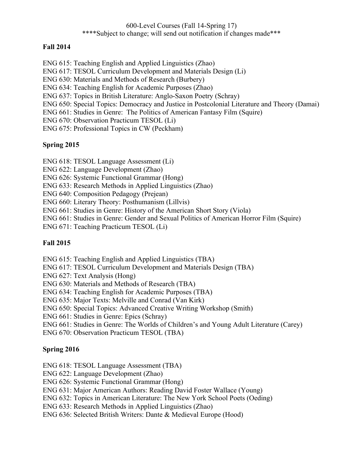#### 600-Level Courses (Fall 14-Spring 17) \*\*\*\*Subject to change; will send out notification if changes made\*\*\*

#### **Fall 2014**

- ENG 615: Teaching English and Applied Linguistics (Zhao)
- ENG 617: TESOL Curriculum Development and Materials Design (Li)
- ENG 630: Materials and Methods of Research (Burbery)
- ENG 634: Teaching English for Academic Purposes (Zhao)
- ENG 637: Topics in British Literature: Anglo-Saxon Poetry (Schray)
- ENG 650: Special Topics: Democracy and Justice in Postcolonial Literature and Theory (Damai)
- ENG 661: Studies in Genre: The Politics of American Fantasy Film (Squire)
- ENG 670: Observation Practicum TESOL (Li)
- ENG 675: Professional Topics in CW (Peckham)

### **Spring 2015**

- ENG 618: TESOL Language Assessment (Li)
- ENG 622: Language Development (Zhao)
- ENG 626: Systemic Functional Grammar (Hong)
- ENG 633: Research Methods in Applied Linguistics (Zhao)
- ENG 640: Composition Pedagogy (Prejean)
- ENG 660: Literary Theory: Posthumanism (Lillvis)
- ENG 661: Studies in Genre: History of the American Short Story (Viola)
- ENG 661: Studies in Genre: Gender and Sexual Politics of American Horror Film (Squire)
- ENG 671: Teaching Practicum TESOL (Li)

#### **Fall 2015**

- ENG 615: Teaching English and Applied Linguistics (TBA)
- ENG 617: TESOL Curriculum Development and Materials Design (TBA)
- ENG 627: Text Analysis (Hong)
- ENG 630: Materials and Methods of Research (TBA)
- ENG 634: Teaching English for Academic Purposes (TBA)
- ENG 635: Major Texts: Melville and Conrad (Van Kirk)
- ENG 650: Special Topics: Advanced Creative Writing Workshop (Smith)
- ENG 661: Studies in Genre: Epics (Schray)
- ENG 661: Studies in Genre: The Worlds of Children's and Young Adult Literature (Carey)
- ENG 670: Observation Practicum TESOL (TBA)

#### **Spring 2016**

- ENG 618: TESOL Language Assessment (TBA)
- ENG 622: Language Development (Zhao)
- ENG 626: Systemic Functional Grammar (Hong)
- ENG 631: Major American Authors: Reading David Foster Wallace (Young)
- ENG 632: Topics in American Literature: The New York School Poets (Oeding)
- ENG 633: Research Methods in Applied Linguistics (Zhao)
- ENG 636: Selected British Writers: Dante & Medieval Europe (Hood)